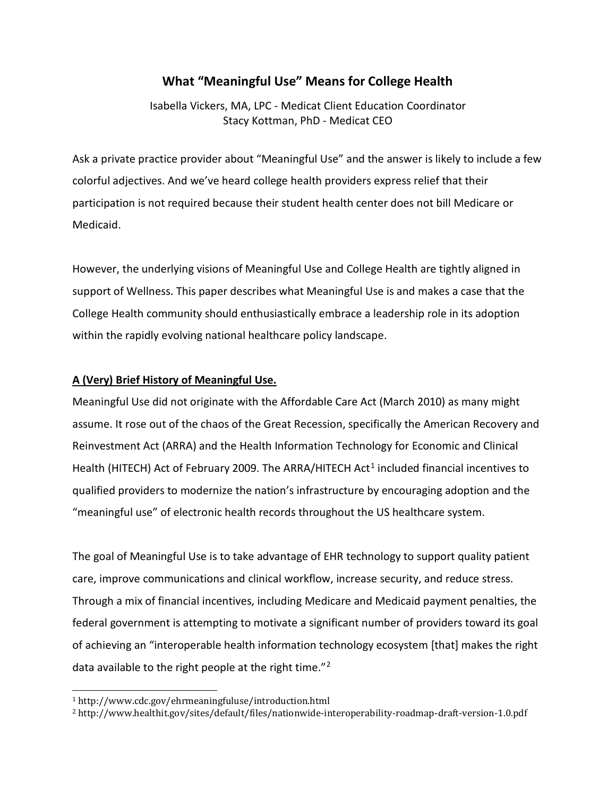# **What "Meaningful Use" Means for College Health**

Isabella Vickers, MA, LPC - Medicat Client Education Coordinator Stacy Kottman, PhD - Medicat CEO

Ask a private practice provider about "Meaningful Use" and the answer is likely to include a few colorful adjectives. And we've heard college health providers express relief that their participation is not required because their student health center does not bill Medicare or Medicaid.

However, the underlying visions of Meaningful Use and College Health are tightly aligned in support of Wellness. This paper describes what Meaningful Use is and makes a case that the College Health community should enthusiastically embrace a leadership role in its adoption within the rapidly evolving national healthcare policy landscape.

# **A (Very) Brief History of Meaningful Use.**

Meaningful Use did not originate with the Affordable Care Act (March 2010) as many might assume. It rose out of the chaos of the Great Recession, specifically the American Recovery and Reinvestment Act (ARRA) and the Health Information Technology for Economic and Clinical Health (HITECH) Act of February 2009. The ARRA/HITECH Act<sup>[1](#page-0-0)</sup> included financial incentives to qualified providers to modernize the nation's infrastructure by encouraging adoption and the "meaningful use" of electronic health records throughout the US healthcare system.

The goal of Meaningful Use is to take advantage of EHR technology to support quality patient care, improve communications and clinical workflow, increase security, and reduce stress. Through a mix of financial incentives, including Medicare and Medicaid payment penalties, the federal government is attempting to motivate a significant number of providers toward its goal of achieving an "interoperable health information technology ecosystem [that] makes the right data available to the right people at the right time."<sup>[2](#page-0-1)</sup>

<span id="page-0-0"></span> <sup>1</sup> http://www.cdc.gov/ehrmeaningfuluse/introduction.html

<span id="page-0-1"></span><sup>2</sup> http://www.healthit.gov/sites/default/files/nationwide-interoperability-roadmap-draft-version-1.0.pdf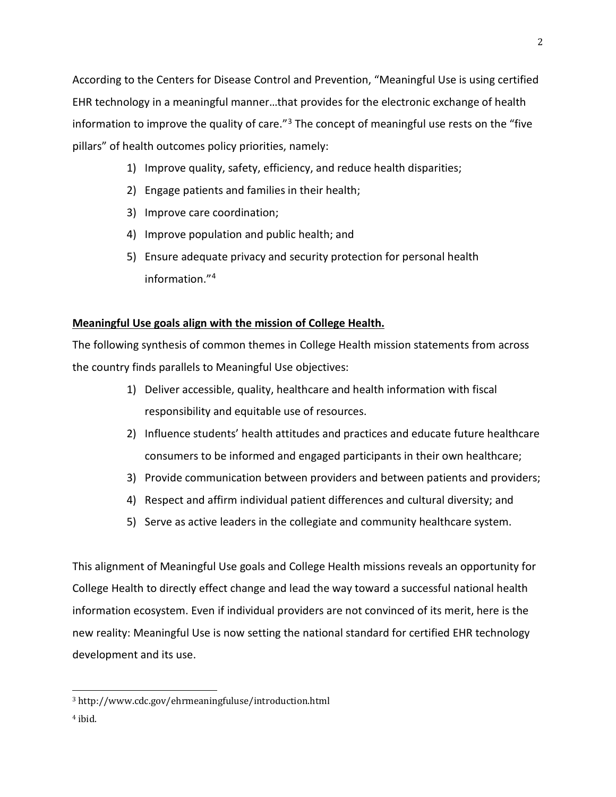According to the Centers for Disease Control and Prevention, "Meaningful Use is using certified EHR technology in a meaningful manner…that provides for the electronic exchange of health information to improve the quality of care."<sup>[3](#page-1-0)</sup> The concept of meaningful use rests on the "five pillars" of health outcomes policy priorities, namely:

- 1) Improve quality, safety, efficiency, and reduce health disparities;
- 2) Engage patients and families in their health;
- 3) Improve care coordination;
- 4) Improve population and public health; and
- 5) Ensure adequate privacy and security protection for personal health information."[4](#page-1-1)

# **Meaningful Use goals align with the mission of College Health.**

The following synthesis of common themes in College Health mission statements from across the country finds parallels to Meaningful Use objectives:

- 1) Deliver accessible, quality, healthcare and health information with fiscal responsibility and equitable use of resources.
- 2) Influence students' health attitudes and practices and educate future healthcare consumers to be informed and engaged participants in their own healthcare;
- 3) Provide communication between providers and between patients and providers;
- 4) Respect and affirm individual patient differences and cultural diversity; and
- 5) Serve as active leaders in the collegiate and community healthcare system.

This alignment of Meaningful Use goals and College Health missions reveals an opportunity for College Health to directly effect change and lead the way toward a successful national health information ecosystem. Even if individual providers are not convinced of its merit, here is the new reality: Meaningful Use is now setting the national standard for certified EHR technology development and its use.

<span id="page-1-1"></span><sup>4</sup> ibid.

<span id="page-1-0"></span> <sup>3</sup> http://www.cdc.gov/ehrmeaningfuluse/introduction.html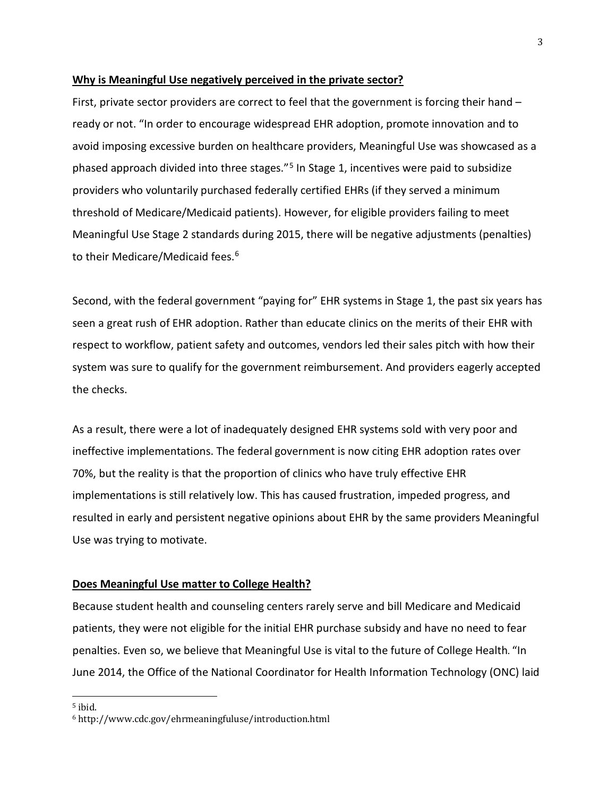#### <span id="page-2-1"></span>**Why is Meaningful Use negatively perceived in the private sector?**

First, private sector providers are correct to feel that the government is forcing their hand – ready or not. "In order to encourage widespread EHR adoption, promote innovation and to avoid imposing excessive burden on healthcare providers, Meaningful Use was showcased as a phased approach divided into three stages."[5](#page-2-0) In Stage 1, incentives were paid to subsidize providers who voluntarily purchased federally certified EHRs (if they served a minimum threshold of Medicare/Medicaid patients). However, for eligible providers failing to meet Meaningful Use Stage 2 standards during 2015, there will be negative adjustments (penalties) to their Medicare/Medicaid fees.<sup>6</sup>

Second, with the federal government "paying for" EHR systems in Stage 1, the past six years has seen a great rush of EHR adoption. Rather than educate clinics on the merits of their EHR with respect to workflow, patient safety and outcomes, vendors led their sales pitch with how their system was sure to qualify for the government reimbursement. And providers eagerly accepted the checks.

As a result, there were a lot of inadequately designed EHR systems sold with very poor and ineffective implementations. The federal government is now citing EHR adoption rates over 70%, but the reality is that the proportion of clinics who have truly effective EHR implementations is still relatively low. This has caused frustration, impeded progress, and resulted in early and persistent negative opinions about EHR by the same providers Meaningful Use was trying to motivate.

#### **Does Meaningful Use matter to College Health?**

Because student health and counseling centers rarely serve and bill Medicare and Medicaid patients, they were not eligible for the initial EHR purchase subsidy and have no need to fear penalties. Even so, we believe that Meaningful Use is vital to the future of College Health. "In June 2014, the Office of the National Coordinator for Health Information Technology (ONC) laid

<span id="page-2-0"></span> <sup>5</sup> ibid.

<sup>6</sup> http://www.cdc.gov/ehrmeaningfuluse/introduction.html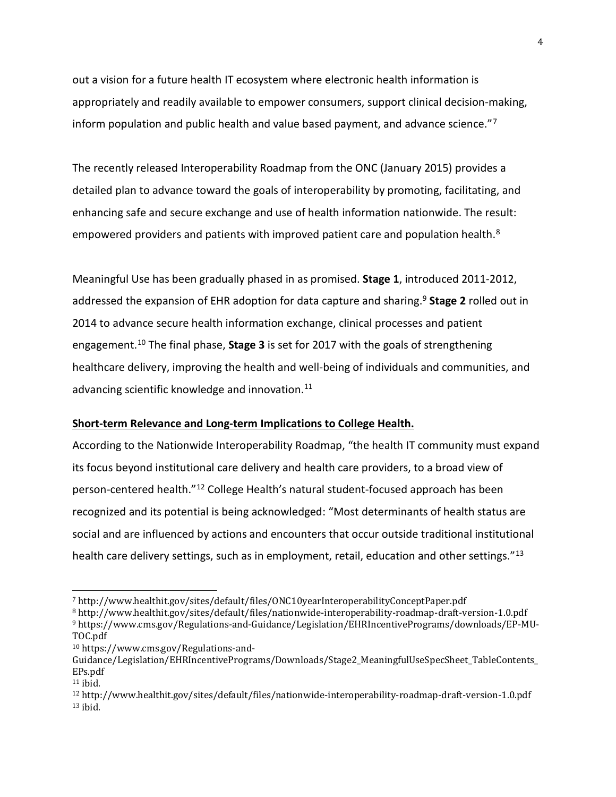<span id="page-3-3"></span>out a vision for a future health IT ecosystem where electronic health information is appropriately and readily available to empower consumers, support clinical decision-making, inform population and public health and value based payment, and advance science."[7](#page-3-0)

The recently released Interoperability Roadmap from the ONC (January 2015) provides a detailed plan to advance toward the goals of interoperability by promoting, facilitating, and enhancing safe and secure exchange and use of health information nationwide. The result: empowered providers and patients with improved patient care and population health.<sup>[8](#page-3-1)</sup>

Meaningful Use has been gradually phased in as promised. **Stage 1**, introduced 2011-2012, addressed the expansion of EHR adoption for data capture and sharing. [9](#page-3-2) **Stage 2** rolled out in 2014 to advance secure health information exchange, clinical processes and patient engagement.[10](#page-3-3) The final phase, **Stage 3** is set for 2017 with the goals of strengthening healthcare delivery, improving the health and well-being of individuals and communities, and advancing scientific knowledge and innovation.<sup>[11](#page-3-3)</sup>

#### **Short-term Relevance and Long-term Implications to College Health.**

According to the Nationwide Interoperability Roadmap, "the health IT community must expand its focus beyond institutional care delivery and health care providers, to a broad view of person-centered health."[12](#page-3-4) College Health's natural student-focused approach has been recognized and its potential is being acknowledged: "Most determinants of health status are social and are influenced by actions and encounters that occur outside traditional institutional health care delivery settings, such as in employment, retail, education and other settings."<sup>[13](#page-3-3)</sup>

<span id="page-3-2"></span><span id="page-3-1"></span><sup>8</sup> http://www.healthit.gov/sites/default/files/nationwide-interoperability-roadmap-draft-version-1.0.pdf <sup>9</sup> https://www.cms.gov/Regulations-and-Guidance/Legislation/EHRIncentivePrograms/downloads/EP-MU-

<sup>10</sup> https://www.cms.gov/Regulations-and-

<span id="page-3-0"></span> <sup>7</sup> http://www.healthit.gov/sites/default/files/ONC10yearInteroperabilityConceptPaper.pdf

TOC.pdf

Guidance/Legislation/EHRIncentivePrograms/Downloads/Stage2\_MeaningfulUseSpecSheet\_TableContents\_ EPs.pdf

 $11$  ibid.

<span id="page-3-4"></span><sup>12</sup> http://www.healthit.gov/sites/default/files/nationwide-interoperability-roadmap-draft-version-1.0.pdf  $13$  ibid.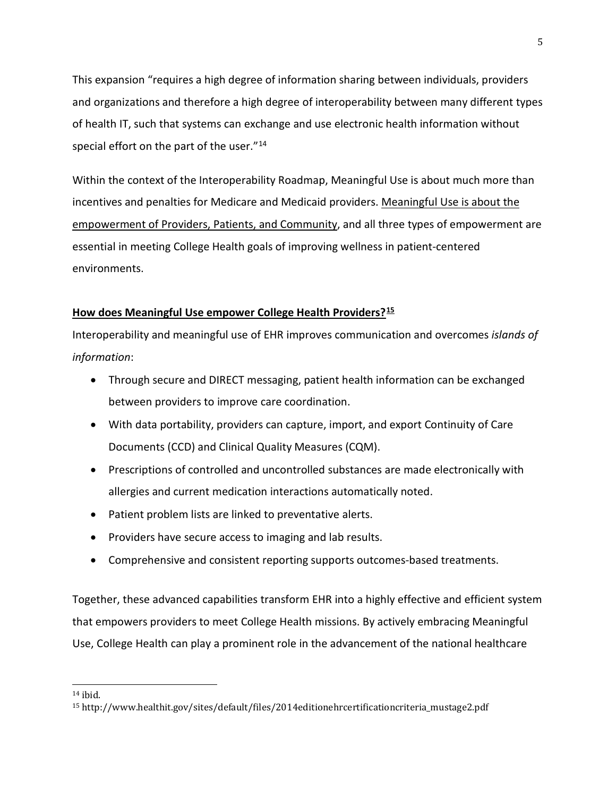This expansion "requires a high degree of information sharing between individuals, providers and organizations and therefore a high degree of interoperability between many different types of health IT, such that systems can exchange and use electronic health information without special effort on the part of the user."<sup>[14](#page-4-0)</sup>

Within the context of the Interoperability Roadmap, Meaningful Use is about much more than incentives and penalties for Medicare and Medicaid providers. Meaningful Use is about the empowerment of Providers, Patients, and Community, and all three types of empowerment are essential in meeting College Health goals of improving wellness in patient-centered environments.

# **How does Meaningful Use empower College Health Providers?[15](#page-4-1)**

Interoperability and meaningful use of EHR improves communication and overcomes *islands of information*:

- Through secure and DIRECT messaging, patient health information can be exchanged between providers to improve care coordination.
- With data portability, providers can capture, import, and export Continuity of Care Documents (CCD) and Clinical Quality Measures (CQM).
- Prescriptions of controlled and uncontrolled substances are made electronically with allergies and current medication interactions automatically noted.
- Patient problem lists are linked to preventative alerts.
- Providers have secure access to imaging and lab results.
- Comprehensive and consistent reporting supports outcomes-based treatments.

Together, these advanced capabilities transform EHR into a highly effective and efficient system that empowers providers to meet College Health missions. By actively embracing Meaningful Use, College Health can play a prominent role in the advancement of the national healthcare

<span id="page-4-0"></span> $14$  ibid.

<span id="page-4-1"></span><sup>15</sup> http://www.healthit.gov/sites/default/files/2014editionehrcertificationcriteria\_mustage2.pdf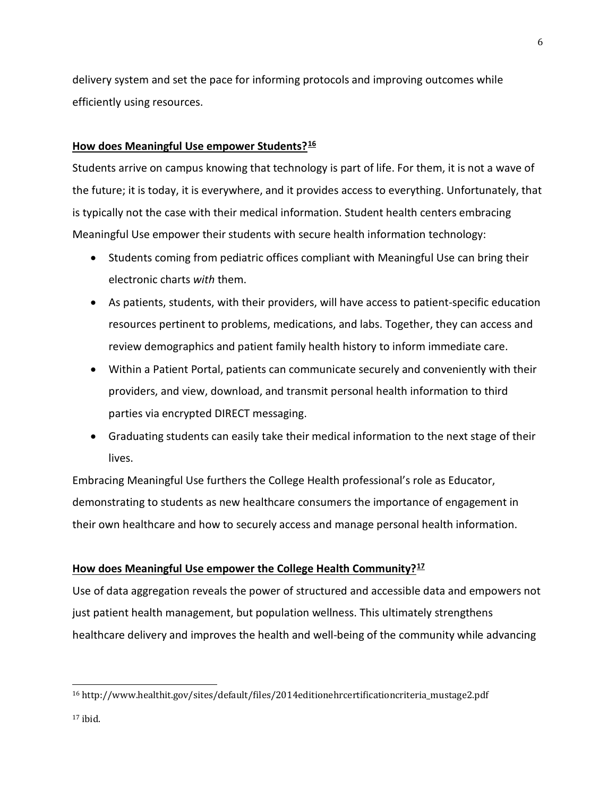delivery system and set the pace for informing protocols and improving outcomes while efficiently using resources.

### **How does Meaningful Use empower Students?[16](#page-5-0)**

Students arrive on campus knowing that technology is part of life. For them, it is not a wave of the future; it is today, it is everywhere, and it provides access to everything. Unfortunately, that is typically not the case with their medical information. Student health centers embracing Meaningful Use empower their students with secure health information technology:

- Students coming from pediatric offices compliant with Meaningful Use can bring their electronic charts *with* them.
- As patients, students, with their providers, will have access to patient-specific education resources pertinent to problems, medications, and labs. Together, they can access and review demographics and patient family health history to inform immediate care.
- Within a Patient Portal, patients can communicate securely and conveniently with their providers, and view, download, and transmit personal health information to third parties via encrypted DIRECT messaging.
- Graduating students can easily take their medical information to the next stage of their lives.

Embracing Meaningful Use furthers the College Health professional's role as Educator, demonstrating to students as new healthcare consumers the importance of engagement in their own healthcare and how to securely access and manage personal health information.

## **How does Meaningful Use empower the College Health Community?[17](#page-5-1)**

Use of data aggregation reveals the power of structured and accessible data and empowers not just patient health management, but population wellness. This ultimately strengthens healthcare delivery and improves the health and well-being of the community while advancing

<span id="page-5-0"></span> <sup>16</sup> http://www.healthit.gov/sites/default/files/2014editionehrcertificationcriteria\_mustage2.pdf

<span id="page-5-1"></span> $17$  ibid.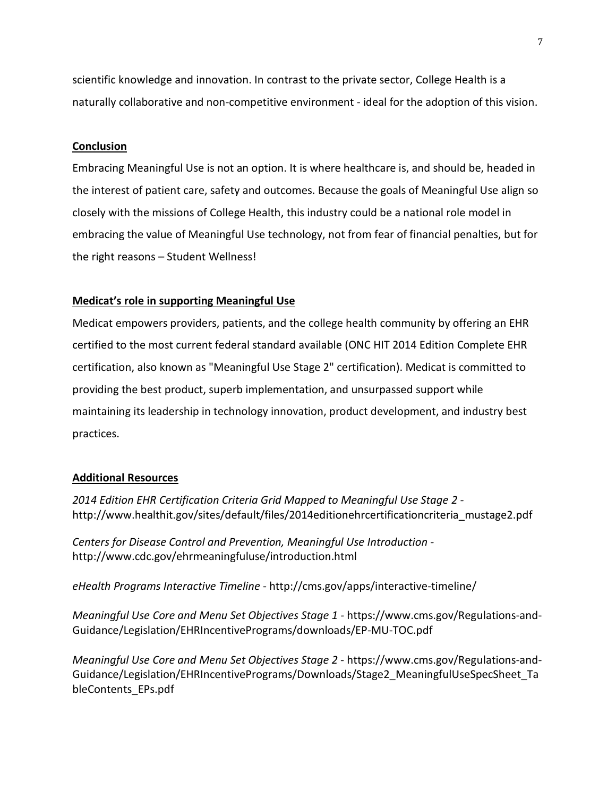scientific knowledge and innovation. In contrast to the private sector, College Health is a naturally collaborative and non-competitive environment - ideal for the adoption of this vision.

### **Conclusion**

Embracing Meaningful Use is not an option. It is where healthcare is, and should be, headed in the interest of patient care, safety and outcomes. Because the goals of Meaningful Use align so closely with the missions of College Health, this industry could be a national role model in embracing the value of Meaningful Use technology, not from fear of financial penalties, but for the right reasons – Student Wellness!

### **Medicat's role in supporting Meaningful Use**

Medicat empowers providers, patients, and the college health community by offering an EHR certified to the most current federal standard available (ONC HIT 2014 Edition Complete EHR certification, also known as "Meaningful Use Stage 2" certification). Medicat is committed to providing the best product, superb implementation, and unsurpassed support while maintaining its leadership in technology innovation, product development, and industry best practices.

#### **Additional Resources**

*2014 Edition EHR Certification Criteria Grid Mapped to Meaningful Use Stage 2*  http://www.healthit.gov/sites/default/files/2014editionehrcertificationcriteria\_mustage2.pdf

*Centers for Disease Control and Prevention, Meaningful Use Introduction*  http://www.cdc.gov/ehrmeaningfuluse/introduction.html

*eHealth Programs Interactive Timeline* - http://cms.gov/apps/interactive-timeline/

*Meaningful Use Core and Menu Set Objectives Stage 1 -* https://www.cms.gov/Regulations-and-Guidance/Legislation/EHRIncentivePrograms/downloads/EP-MU-TOC.pdf

*Meaningful Use Core and Menu Set Objectives Stage 2 -* https://www.cms.gov/Regulations-and-Guidance/Legislation/EHRIncentivePrograms/Downloads/Stage2\_MeaningfulUseSpecSheet\_Ta bleContents\_EPs.pdf